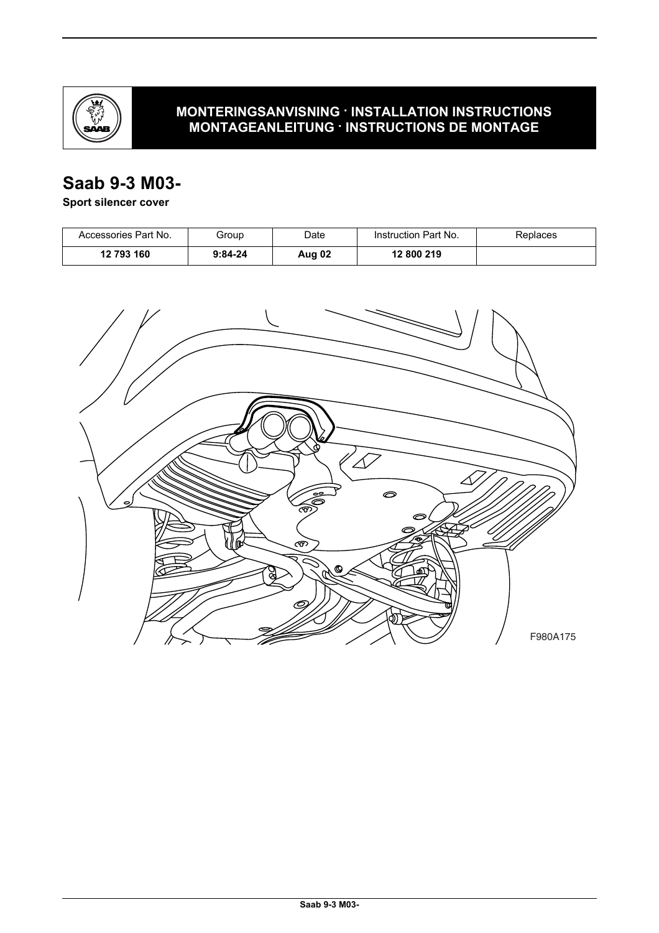

## **MONTERINGSANVISNING · INSTALLATION INSTRUCTIONS MONTAGEANLEITUNG · INSTRUCTIONS DE MONTAGE**

## **Saab 9-3 M03-**

### **Sport silencer cover**

| Accessories Part No. | Group     | Date   | Instruction Part No. | Replaces |
|----------------------|-----------|--------|----------------------|----------|
| 12 793 160           | $9:84-24$ | Aug 02 | 12 800 219           |          |

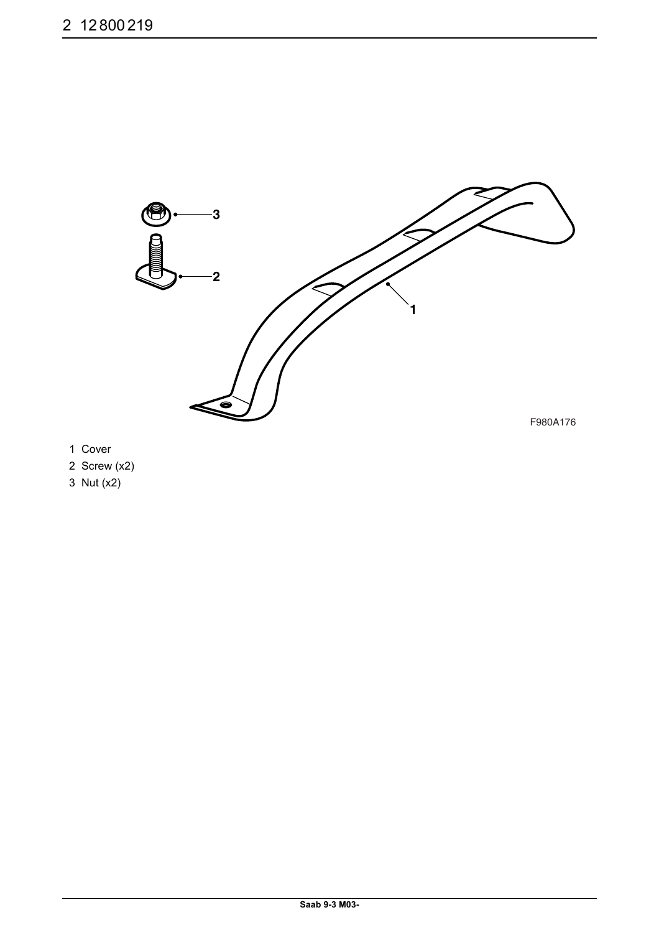

- 1 Cover
- 2 Screw (x2)
- 3 Nut (x2)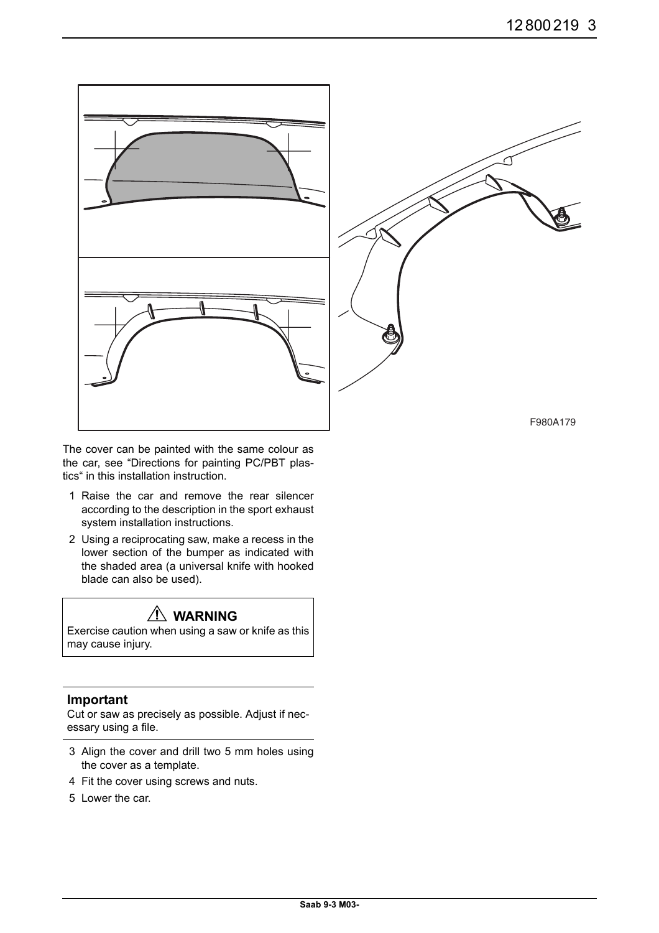

The cover can be painted with the same colour as the car, see "Directions for painting PC/PBT plastics" in this installation instruction.

- 1 Raise the car and remove the rear silencer according to the description in the sport exhaust system installation instructions.
- 2 Using a reciprocating saw, make a recess in the lower section of the bumper as indicated with the shaded area (a universal knife with hooked blade can also be used).

# **WARNING**

Exercise caution when using a saw or knife as this may cause injury.

#### **Important**

Cut or saw as precisely as possible. Adjust if necessary using a file.

- 3 Align the cover and drill two 5 mm holes using the cover as a template.
- 4 Fit the cover using screws and nuts.
- 5 Lower the car.